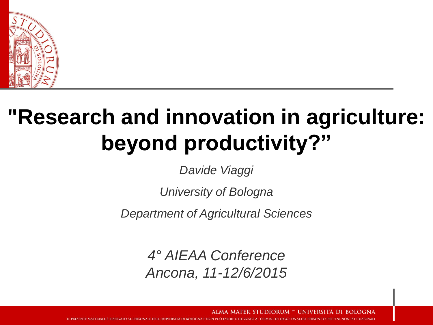

#### **"Research and innovation in agriculture: beyond productivity?"**

*Davide Viaggi*

*University of Bologna*

*Department of Agricultural Sciences*

*4° AIEAA Conference Ancona, 11-12/6/2015*

> STUDIORUM <sup>–</sup> UNIVERSITÀ DI OGNA

ESSERE UTILIZZATO AI TERMINI DI LEGGE DA ALTRE PERSONE O PER FINI NON ISTITUZIONALI IL PRESENTE MATERIALE È RISERVATO AL PERSONALE DELL'UNIVERSITÀ DI BOLOGNA E NON PUÒ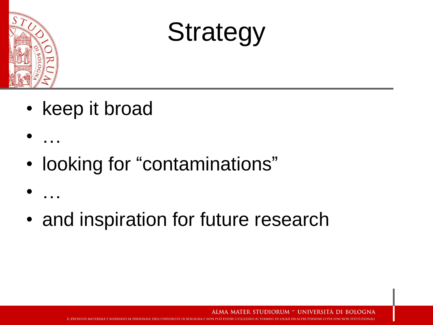

• …

• …

## **Strategy**

- keep it broad
- looking for "contaminations"
- and inspiration for future research

ALMA MATER STUDIORUM - UNIVERSITÀ DI BOI OGNA

IL PRESENTE MATERIALE È RISERVATO AL PERSONALE DELL'UNIVERSITÀ DI BOLOGNA E NON PUÒ ESSERE UTILIZZATO AI TERMINI DI LEGGE DA ALTRE PERSONE O PER FINI NON ISTITUZIONALI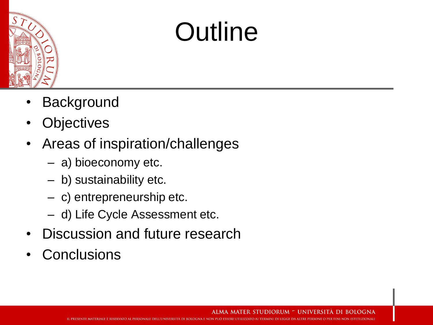

## **Outline**

- **Background**
- **Objectives**
- Areas of inspiration/challenges
	- a) bioeconomy etc.
	- b) sustainability etc.
	- c) entrepreneurship etc.
	- d) Life Cycle Assessment etc.
- Discussion and future research
- **Conclusions**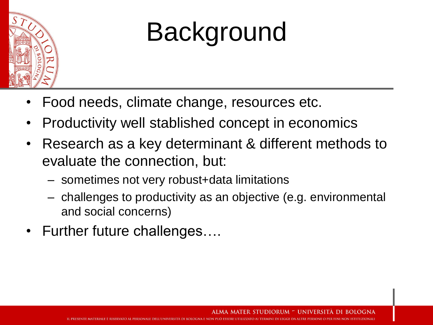

## Background

- Food needs, climate change, resources etc.
- Productivity well stablished concept in economics
- Research as a key determinant & different methods to evaluate the connection, but:
	- sometimes not very robust+data limitations
	- challenges to productivity as an objective (e.g. environmental and social concerns)
- Further future challenges....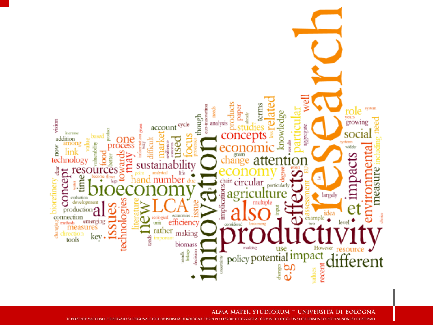

UNIVERSITÀ DI BOLOGNA ALMA MATER STUDIORUM

IL PRESENTE MATERIALE È RISERVATO AL PERSONALE DELL'UNIVERSITÀ DI BOLOGNA E NON PUÒ ESSERE UTILIZZATO AI TERMINI DI LEGGE DA ALTRE PERSONE O PER FINI NON ISTITUZIONALI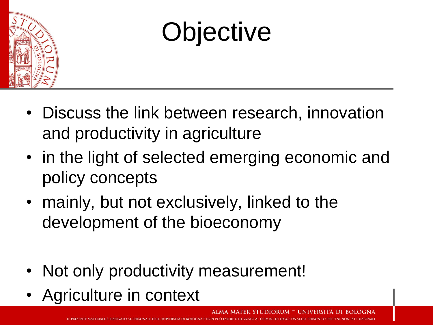

## **Objective**

- Discuss the link between research, innovation and productivity in agriculture
- in the light of selected emerging economic and policy concepts
- mainly, but not exclusively, linked to the development of the bioeconomy
- Not only productivity measurement!
- Agriculture in context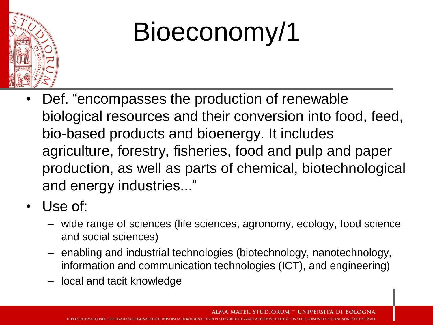

## Bioeconomy/1

- Def. "encompasses the production of renewable biological resources and their conversion into food, feed, bio-based products and bioenergy. It includes agriculture, forestry, fisheries, food and pulp and paper production, as well as parts of chemical, biotechnological and energy industries..."
- Use of:
	- wide range of sciences (life sciences, agronomy, ecology, food science and social sciences)
	- enabling and industrial technologies (biotechnology, nanotechnology, information and communication technologies (ICT), and engineering)
	- local and tacit knowledge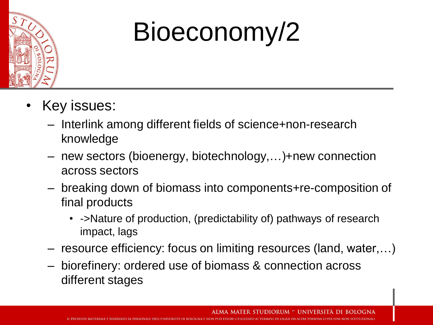

## Bioeconomy/2

- Key issues:
	- Interlink among different fields of science+non-research knowledge
	- new sectors (bioenergy, biotechnology,…)+new connection across sectors
	- breaking down of biomass into components+re-composition of final products
		- ->Nature of production, (predictability of) pathways of research impact, lags
	- resource efficiency: focus on limiting resources (land, water,…)
	- biorefinery: ordered use of biomass & connection across different stages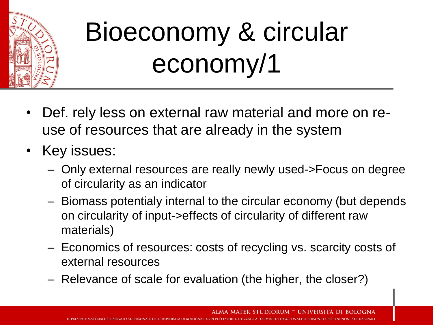

## Bioeconomy & circular economy/1

- Def. rely less on external raw material and more on reuse of resources that are already in the system
- Key issues:
	- Only external resources are really newly used->Focus on degree of circularity as an indicator
	- Biomass potentialy internal to the circular economy (but depends on circularity of input->effects of circularity of different raw materials)
	- Economics of resources: costs of recycling vs. scarcity costs of external resources
	- Relevance of scale for evaluation (the higher, the closer?)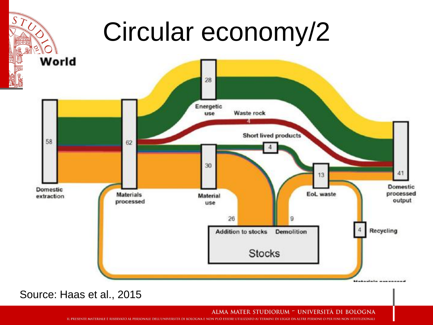## Circular economy/2



Source: Haas et al., 2015

ALMA MATER STUDIORUM <sup>–</sup> UNIVERSITÀ DI BOLOGNA

IL PRESENTE MATERIALE È RISERVATO AL PERSONALE DELL'UNIVERSITÀ DI BOLOGNA E NON PUÒ ESSERE UTILIZZATO AI TERMINI DI LEGGE DA ALTRE PERSONE O PER FINI NON ISTITUZIONALI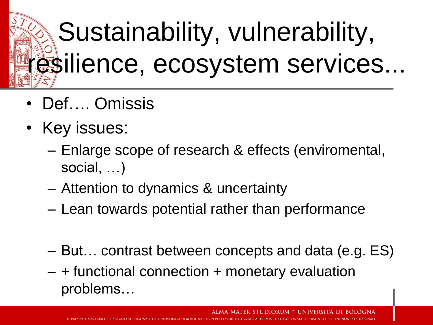## Sustainability, vulnerability, resilience, ecosystem services...

- Def…. Omissis
- Key issues:
	- Enlarge scope of research & effects (enviromental, social, …)
	- Attention to dynamics & uncertainty
	- Lean towards potential rather than performance
	- But… contrast between concepts and data (e.g. ES)

IL PRESENTE MATERIALE È RISERVATO AL PERSONALE DELL'UNIVERSITÀ DI ROLOGNA E NON PUÒ ESSERE UTILIZZATO AL TERMINI DI LEGGE DA ALTRE PERSONE O PER FINI NON ISTITUZIONALI

– + functional connection + monetary evaluation problems…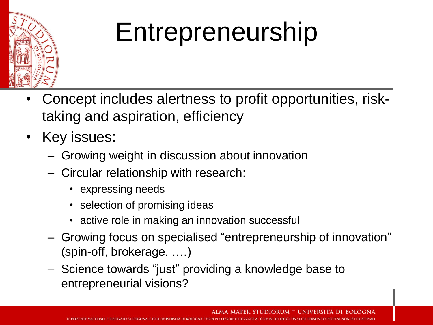

## Entrepreneurship

- Concept includes alertness to profit opportunities, risktaking and aspiration, efficiency
- Key issues:
	- Growing weight in discussion about innovation
	- Circular relationship with research:
		- expressing needs
		- selection of promising ideas
		- active role in making an innovation successful
	- Growing focus on specialised "entrepreneurship of innovation" (spin-off, brokerage, ….)
	- Science towards "just" providing a knowledge base to entrepreneurial visions?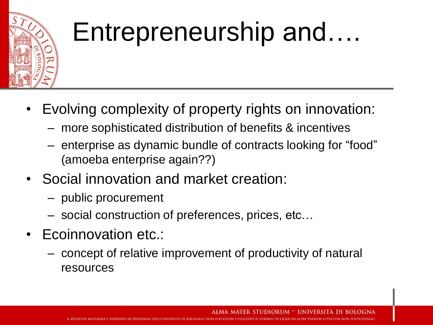

### Entrepreneurship and….

- Evolving complexity of property rights on innovation:
	- more sophisticated distribution of benefits & incentives
	- enterprise as dynamic bundle of contracts looking for "food" (amoeba enterprise again??)
- Social innovation and market creation:
	- public procurement
	- social construction of preferences, prices, etc…
- Ecoinnovation etc.:
	- concept of relative improvement of productivity of natural resources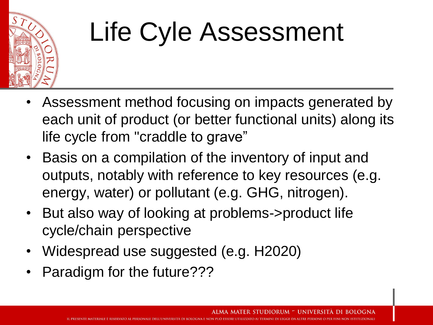

## Life Cyle Assessment

- Assessment method focusing on impacts generated by each unit of product (or better functional units) along its life cycle from "craddle to grave"
- Basis on a compilation of the inventory of input and outputs, notably with reference to key resources (e.g. energy, water) or pollutant (e.g. GHG, nitrogen).
- But also way of looking at problems->product life cycle/chain perspective
- Widespread use suggested (e.g. H2020)
- Paradigm for the future???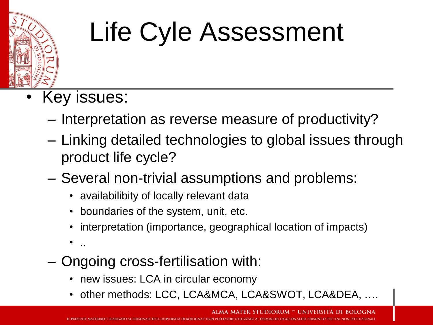

## Life Cyle Assessment

- Key issues:
	- Interpretation as reverse measure of productivity?
	- Linking detailed technologies to global issues through product life cycle?
	- Several non-trivial assumptions and problems:
		- availabilibity of locally relevant data
		- boundaries of the system, unit, etc.
		- interpretation (importance, geographical location of impacts)
		- ..
	- Ongoing cross-fertilisation with:
		- new issues: LCA in circular economy
		- other methods: LCC, LCA&MCA, LCA&SWOT, LCA&DEA, ….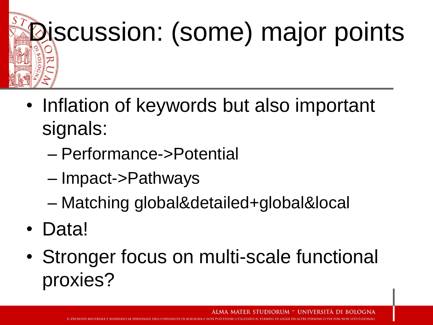# **Discussion: (some) major points**

- Inflation of keywords but also important signals:
	- Performance->Potential
	- Impact->Pathways
	- Matching global&detailed+global&local
- Data!
- Stronger focus on multi-scale functional proxies?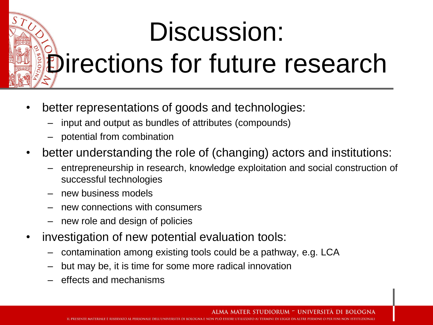# Discussion: Directions for future research

- better representations of goods and technologies:
	- input and output as bundles of attributes (compounds)
	- potential from combination
- better understanding the role of (changing) actors and institutions:
	- entrepreneurship in research, knowledge exploitation and social construction of successful technologies
	- new business models
	- new connections with consumers
	- new role and design of policies
- investigation of new potential evaluation tools:
	- contamination among existing tools could be a pathway, e.g. LCA
	- but may be, it is time for some more radical innovation
	- effects and mechanisms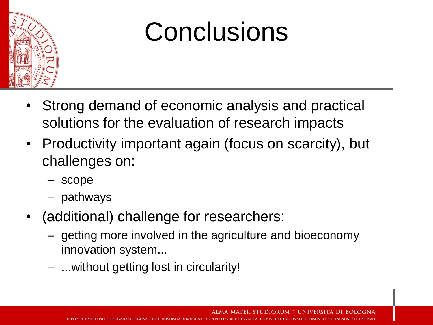

### Conclusions

- Strong demand of economic analysis and practical solutions for the evaluation of research impacts
- Productivity important again (focus on scarcity), but challenges on:
	- scope
	- pathways
- (additional) challenge for researchers:
	- getting more involved in the agriculture and bioeconomy innovation system...
	- ...without getting lost in circularity!